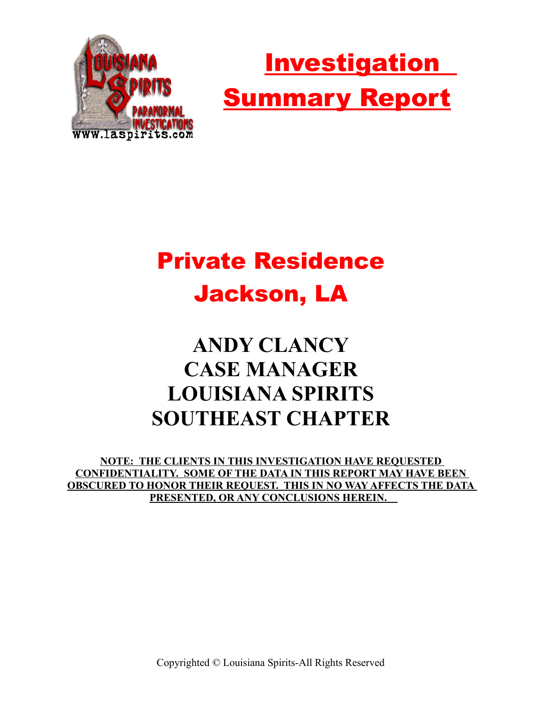



# Private Residence Jackson, LA

## **ANDY CLANCY CASE MANAGER LOUISIANA SPIRITS SOUTHEAST CHAPTER**

**NOTE: THE CLIENTS IN THIS INVESTIGATION HAVE REQUESTED CONFIDENTIALITY. SOME OF THE DATA IN THIS REPORT MAY HAVE BEEN OBSCURED TO HONOR THEIR REQUEST. THIS IN NO WAY AFFECTS THE DATA PRESENTED, OR ANY CONCLUSIONS HEREIN.** 

Copyrighted © Louisiana Spirits-All Rights Reserved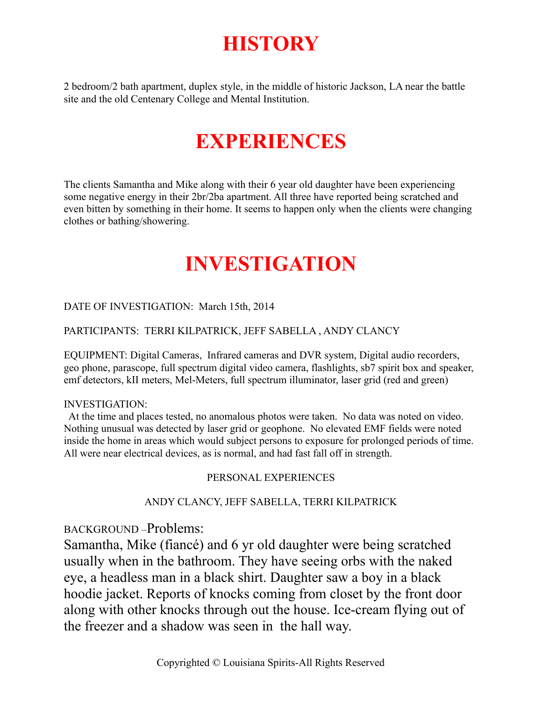### **HISTORY**

2 bedroom/2 bath apartment, duplex style, in the middle of historic Jackson, LA near the battle site and the old Centenary College and Mental Institution.

### **EXPERIENCES**

The clients Samantha and Mike along with their 6 year old daughter have been experiencing some negative energy in their 2br/2ba apartment. All three have reported being scratched and even bitten by something in their home. It seems to happen only when the clients were changing clothes or bathing/showering.

### **INVESTIGATION**

#### DATE OF INVESTIGATION: March 15th, 2014

#### PARTICIPANTS: TERRI KILPATRICK, JEFF SABELLA , ANDY CLANCY

EQUIPMENT: Digital Cameras, Infrared cameras and DVR system, Digital audio recorders, geo phone, parascope, full spectrum digital video camera, flashlights, sb7 spirit box and speaker, emf detectors, kII meters, Mel-Meters, full spectrum illuminator, laser grid (red and green)

#### INVESTIGATION:

 At the time and places tested, no anomalous photos were taken. No data was noted on video. Nothing unusual was detected by laser grid or geophone. No elevated EMF fields were noted inside the home in areas which would subject persons to exposure for prolonged periods of time. All were near electrical devices, as is normal, and had fast fall off in strength.

#### PERSONAL EXPERIENCES

#### ANDY CLANCY, JEFF SABELLA, TERRI KILPATRICK

BACKGROUND –Problems:

Samantha, Mike (fiancé) and 6 yr old daughter were being scratched usually when in the bathroom. They have seeing orbs with the naked eye, a headless man in a black shirt. Daughter saw a boy in a black hoodie jacket. Reports of knocks coming from closet by the front door along with other knocks through out the house. Ice-cream flying out of the freezer and a shadow was seen in the hall way.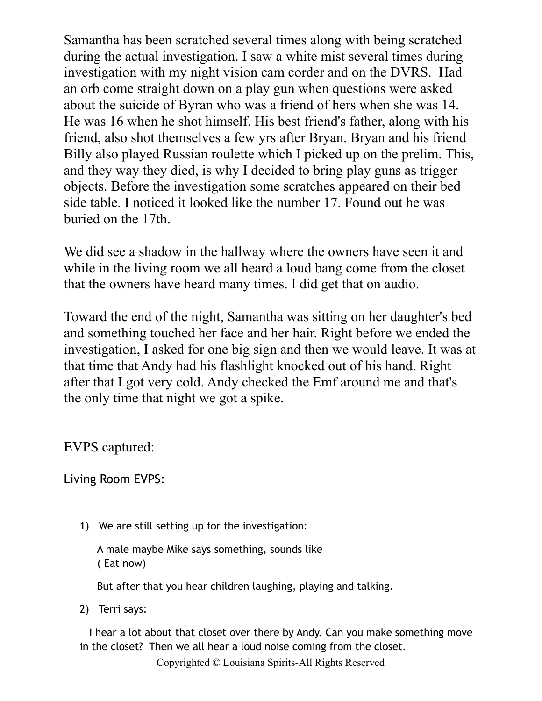Samantha has been scratched several times along with being scratched during the actual investigation. I saw a white mist several times during investigation with my night vision cam corder and on the DVRS. Had an orb come straight down on a play gun when questions were asked about the suicide of Byran who was a friend of hers when she was 14. He was 16 when he shot himself. His best friend's father, along with his friend, also shot themselves a few yrs after Bryan. Bryan and his friend Billy also played Russian roulette which I picked up on the prelim. This, and they way they died, is why I decided to bring play guns as trigger objects. Before the investigation some scratches appeared on their bed side table. I noticed it looked like the number 17. Found out he was buried on the 17th.

We did see a shadow in the hallway where the owners have seen it and while in the living room we all heard a loud bang come from the closet that the owners have heard many times. I did get that on audio.

Toward the end of the night, Samantha was sitting on her daughter's bed and something touched her face and her hair. Right before we ended the investigation, I asked for one big sign and then we would leave. It was at that time that Andy had his flashlight knocked out of his hand. Right after that I got very cold. Andy checked the Emf around me and that's the only time that night we got a spike.

EVPS captured:

Living Room EVPS:

1) We are still setting up for the investigation:

A male maybe Mike says something, sounds like ( Eat now)

But after that you hear children laughing, playing and talking.

2) Terri says:

 I hear a lot about that closet over there by Andy. Can you make something move in the closet? Then we all hear a loud noise coming from the closet.